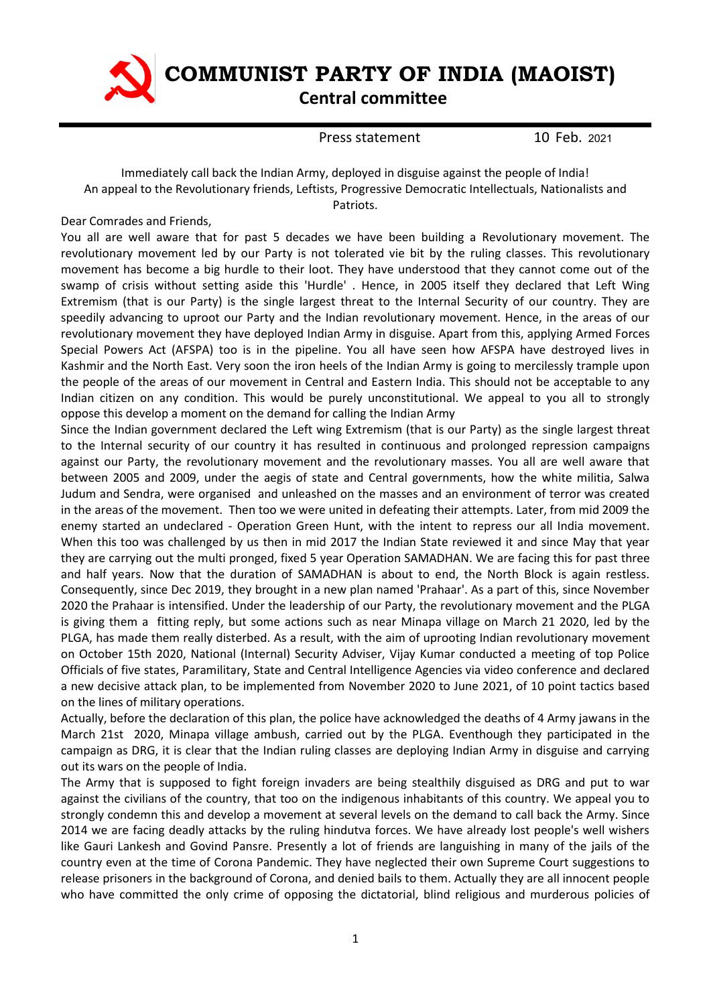

 **COMMUNIST PARTY OF INDIA (MAOIST)**

## **Central committee**

Press statement 10 Feb. 2021

## Immediately call back the Indian Army, deployed in disguise against the people of India! An appeal to the Revolutionary friends, Leftists, Progressive Democratic Intellectuals, Nationalists and Patriots.

Dear Comrades and Friends,

You all are well aware that for past 5 decades we have been building a Revolutionary movement. The revolutionary movement led by our Party is not tolerated vie bit by the ruling classes. This revolutionary movement has become a big hurdle to their loot. They have understood that they cannot come out of the swamp of crisis without setting aside this 'Hurdle' . Hence, in 2005 itself they declared that Left Wing Extremism (that is our Party) is the single largest threat to the Internal Security of our country. They are speedily advancing to uproot our Party and the Indian revolutionary movement. Hence, in the areas of our revolutionary movement they have deployed Indian Army in disguise. Apart from this, applying Armed Forces Special Powers Act (AFSPA) too is in the pipeline. You all have seen how AFSPA have destroyed lives in Kashmir and the North East. Very soon the iron heels of the Indian Army is going to mercilessly trample upon the people of the areas of our movement in Central and Eastern India. This should not be acceptable to any Indian citizen on any condition. This would be purely unconstitutional. We appeal to you all to strongly oppose this develop a moment on the demand for calling the Indian Army

Since the Indian government declared the Left wing Extremism (that is our Party) as the single largest threat to the Internal security of our country it has resulted in continuous and prolonged repression campaigns against our Party, the revolutionary movement and the revolutionary masses. You all are well aware that between 2005 and 2009, under the aegis of state and Central governments, how the white militia, Salwa Judum and Sendra, were organised and unleashed on the masses and an environment of terror was created in the areas of the movement. Then too we were united in defeating their attempts. Later, from mid 2009 the enemy started an undeclared - Operation Green Hunt, with the intent to repress our all India movement. When this too was challenged by us then in mid 2017 the Indian State reviewed it and since May that year they are carrying out the multi pronged, fixed 5 year Operation SAMADHAN. We are facing this for past three and half years. Now that the duration of SAMADHAN is about to end, the North Block is again restless. Consequently, since Dec 2019, they brought in a new plan named 'Prahaar'. As a part of this, since November 2020 the Prahaar is intensified. Under the leadership of our Party, the revolutionary movement and the PLGA is giving them a fitting reply, but some actions such as near Minapa village on March 21 2020, led by the PLGA, has made them really disterbed. As a result, with the aim of uprooting Indian revolutionary movement on October 15th 2020, National (Internal) Security Adviser, Vijay Kumar conducted a meeting of top Police Officials of five states, Paramilitary, State and Central Intelligence Agencies via video conference and declared a new decisive attack plan, to be implemented from November 2020 to June 2021, of 10 point tactics based on the lines of military operations.

Actually, before the declaration of this plan, the police have acknowledged the deaths of 4 Army jawans in the March 21st 2020, Minapa village ambush, carried out by the PLGA. Eventhough they participated in the campaign as DRG, it is clear that the Indian ruling classes are deploying Indian Army in disguise and carrying out its wars on the people of India.

The Army that is supposed to fight foreign invaders are being stealthily disguised as DRG and put to war against the civilians of the country, that too on the indigenous inhabitants of this country. We appeal you to strongly condemn this and develop a movement at several levels on the demand to call back the Army. Since 2014 we are facing deadly attacks by the ruling hindutva forces. We have already lost people's well wishers like Gauri Lankesh and Govind Pansre. Presently a lot of friends are languishing in many of the jails of the country even at the time of Corona Pandemic. They have neglected their own Supreme Court suggestions to release prisoners in the background of Corona, and denied bails to them. Actually they are all innocent people who have committed the only crime of opposing the dictatorial, blind religious and murderous policies of